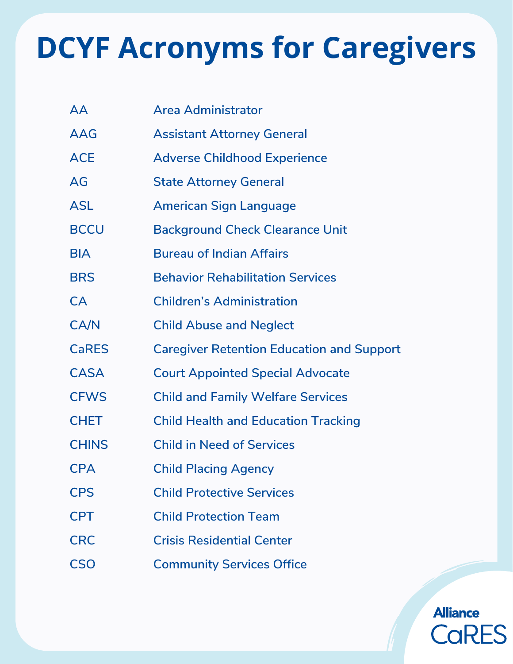| <b>AA</b>    | <b>Area Administrator</b>                        |
|--------------|--------------------------------------------------|
| <b>AAG</b>   | <b>Assistant Attorney General</b>                |
| <b>ACE</b>   | <b>Adverse Childhood Experience</b>              |
| AG           | <b>State Attorney General</b>                    |
| <b>ASL</b>   | <b>American Sign Language</b>                    |
| <b>BCCU</b>  | <b>Background Check Clearance Unit</b>           |
| <b>BIA</b>   | <b>Bureau of Indian Affairs</b>                  |
| <b>BRS</b>   | <b>Behavior Rehabilitation Services</b>          |
| CA           | <b>Children's Administration</b>                 |
| CA/N         | <b>Child Abuse and Neglect</b>                   |
| <b>CaRES</b> | <b>Caregiver Retention Education and Support</b> |
| <b>CASA</b>  | <b>Court Appointed Special Advocate</b>          |
| <b>CFWS</b>  | <b>Child and Family Welfare Services</b>         |
| <b>CHET</b>  | <b>Child Health and Education Tracking</b>       |
| <b>CHINS</b> | <b>Child in Need of Services</b>                 |
| <b>CPA</b>   | <b>Child Placing Agency</b>                      |
| <b>CPS</b>   | <b>Child Protective Services</b>                 |
| <b>CPT</b>   | <b>Child Protection Team</b>                     |
| <b>CRC</b>   | <b>Crisis Residential Center</b>                 |
| <b>CSO</b>   | <b>Community Services Office</b>                 |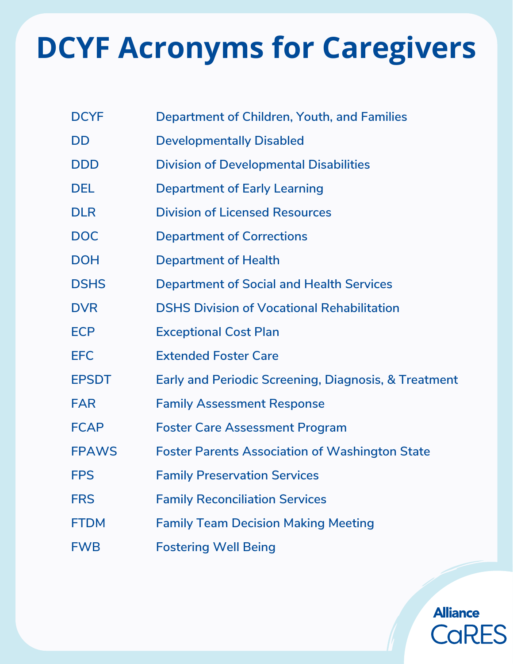| <b>DCYF</b>  | Department of Children, Youth, and Families                     |
|--------------|-----------------------------------------------------------------|
| DD           | <b>Developmentally Disabled</b>                                 |
| <b>DDD</b>   | <b>Division of Developmental Disabilities</b>                   |
| <b>DEL</b>   | <b>Department of Early Learning</b>                             |
| <b>DLR</b>   | <b>Division of Licensed Resources</b>                           |
| <b>DOC</b>   | <b>Department of Corrections</b>                                |
| <b>DOH</b>   | <b>Department of Health</b>                                     |
| <b>DSHS</b>  | <b>Department of Social and Health Services</b>                 |
| <b>DVR</b>   | <b>DSHS Division of Vocational Rehabilitation</b>               |
| <b>ECP</b>   | <b>Exceptional Cost Plan</b>                                    |
| <b>EFC</b>   | <b>Extended Foster Care</b>                                     |
| <b>EPSDT</b> | <b>Early and Periodic Screening, Diagnosis, &amp; Treatment</b> |
| <b>FAR</b>   | <b>Family Assessment Response</b>                               |
| <b>FCAP</b>  | <b>Foster Care Assessment Program</b>                           |
| <b>FPAWS</b> | <b>Foster Parents Association of Washington State</b>           |
| <b>FPS</b>   | <b>Family Preservation Services</b>                             |
| <b>FRS</b>   | <b>Family Reconciliation Services</b>                           |
| <b>FTDM</b>  | <b>Family Team Decision Making Meeting</b>                      |
| <b>FWB</b>   | <b>Fostering Well Being</b>                                     |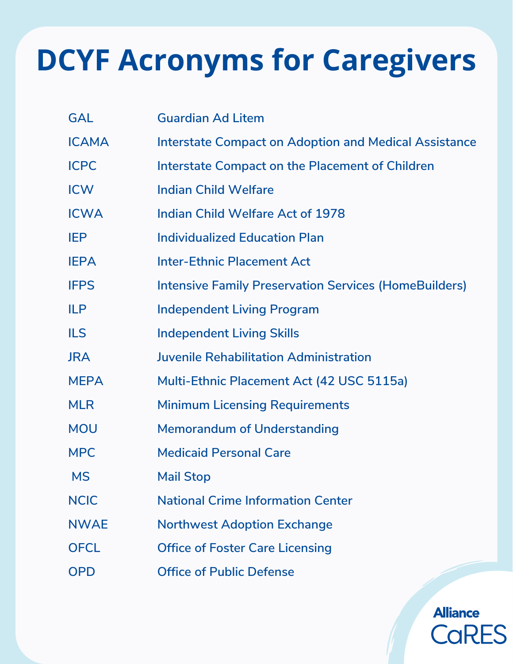| <b>GAL</b>   | <b>Guardian Ad Litem</b>                                     |
|--------------|--------------------------------------------------------------|
| <b>ICAMA</b> | <b>Interstate Compact on Adoption and Medical Assistance</b> |
| <b>ICPC</b>  | Interstate Compact on the Placement of Children              |
| <b>ICW</b>   | <b>Indian Child Welfare</b>                                  |
| <b>ICWA</b>  | <b>Indian Child Welfare Act of 1978</b>                      |
| <b>IEP</b>   | <b>Individualized Education Plan</b>                         |
| <b>IEPA</b>  | <b>Inter-Ethnic Placement Act</b>                            |
| <b>IFPS</b>  | <b>Intensive Family Preservation Services (HomeBuilders)</b> |
| <b>ILP</b>   | <b>Independent Living Program</b>                            |
| <b>ILS</b>   | <b>Independent Living Skills</b>                             |
| JRA          | <b>Juvenile Rehabilitation Administration</b>                |
| <b>MEPA</b>  | Multi-Ethnic Placement Act (42 USC 5115a)                    |
| <b>MLR</b>   | <b>Minimum Licensing Requirements</b>                        |
| <b>MOU</b>   | <b>Memorandum of Understanding</b>                           |
| <b>MPC</b>   | <b>Medicaid Personal Care</b>                                |
| <b>MS</b>    | <b>Mail Stop</b>                                             |
| <b>NCIC</b>  | <b>National Crime Information Center</b>                     |
| <b>NWAE</b>  | <b>Northwest Adoption Exchange</b>                           |
| <b>OFCL</b>  | <b>Office of Foster Care Licensing</b>                       |
| <b>OPD</b>   | <b>Office of Public Defense</b>                              |